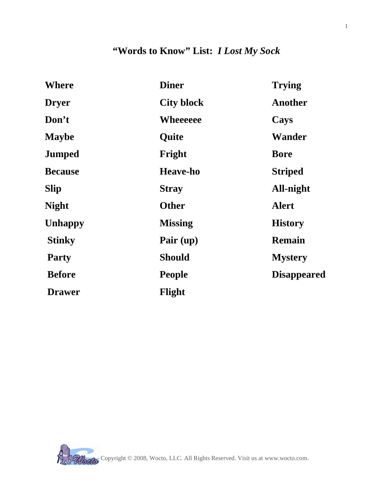## **"Words to Know" List:** *I Lost My Sock*

| <b>Where</b>   | <b>Diner</b>      | <b>Trying</b>      |
|----------------|-------------------|--------------------|
| <b>Dryer</b>   | <b>City block</b> | Another            |
| Don't          | Wheeeeee          | Cays               |
| <b>Maybe</b>   | Quite             | Wander             |
| <b>Jumped</b>  | Fright            | <b>Bore</b>        |
| <b>Because</b> | <b>Heave-ho</b>   | <b>Striped</b>     |
| <b>Slip</b>    | <b>Stray</b>      | All-night          |
| <b>Night</b>   | <b>Other</b>      | <b>Alert</b>       |
| <b>Unhappy</b> | <b>Missing</b>    | <b>History</b>     |
| <b>Stinky</b>  | Pair (up)         | <b>Remain</b>      |
| <b>Party</b>   | <b>Should</b>     | <b>Mystery</b>     |
| <b>Before</b>  | <b>People</b>     | <b>Disappeared</b> |
| <b>Drawer</b>  | Flight            |                    |